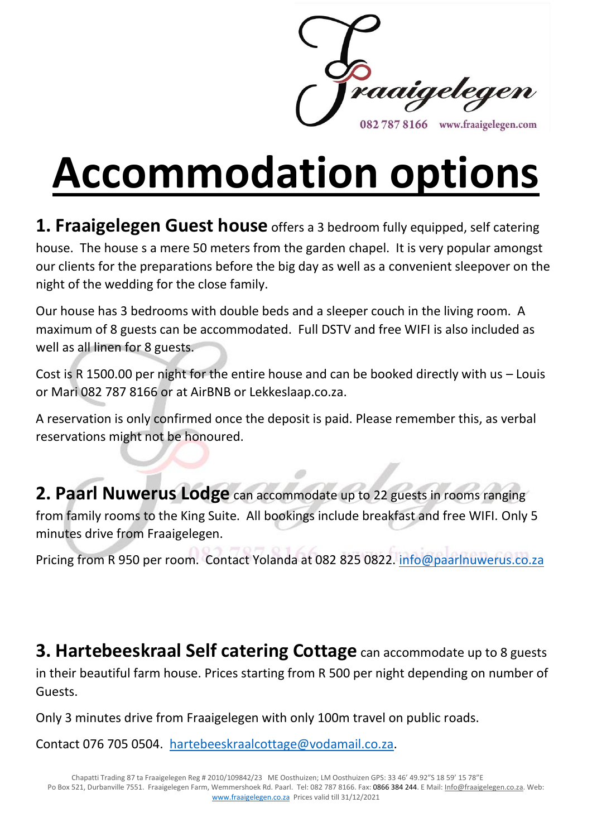

**Accommodation options**

**1. Fraaigelegen Guest house** offers a 3 bedroom fully equipped, self catering house. The house s a mere 50 meters from the garden chapel. It is very popular amongst our clients for the preparations before the big day as well as a convenient sleepover on the night of the wedding for the close family.

Our house has 3 bedrooms with double beds and a sleeper couch in the living room. A maximum of 8 guests can be accommodated. Full DSTV and free WIFI is also included as well as all linen for 8 guests.

Cost is R 1500.00 per night for the entire house and can be booked directly with us – Louis or Mari 082 787 8166 or at AirBNB or Lekkeslaap.co.za.

A reservation is only confirmed once the deposit is paid. Please remember this, as verbal reservations might not be honoured.

**2. Paarl Nuwerus Lodge** can accommodate up to 22 guests in rooms ranging from family rooms to the King Suite. All bookings include breakfast and free WIFI. Only 5 minutes drive from Fraaigelegen.

Pricing from R 950 per room. Contact Yolanda at 082 825 0822. [info@paarlnuwerus.co.za](mailto:info@paarlnuwerus.co.za)

**3. Hartebeeskraal Self catering Cottage** can accommodate up to 8 guests in their beautiful farm house. Prices starting from R 500 per night depending on number of Guests.

Only 3 minutes drive from Fraaigelegen with only 100m travel on public roads.

Contact 076 705 0504. [hartebeeskraalcottage@vodamail.co.za.](mailto:hartebeeskraalcottage@vodamail.co.za)